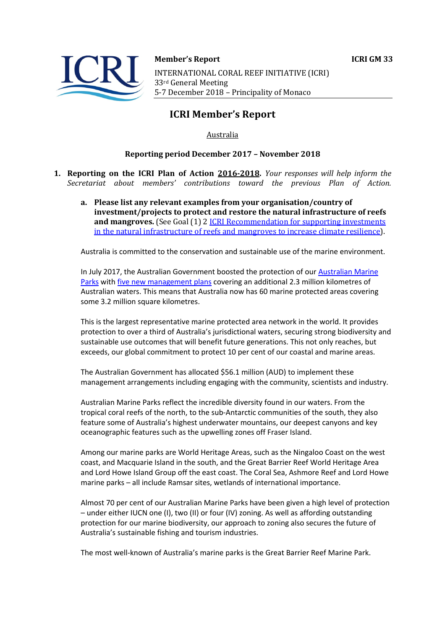

# **Member's Report ICRI GM 33** INTERNATIONAL CORAL REEF INITIATIVE (ICRI) 33rd General Meeting 5-7 December 2018 - Principality of Monaco

# **ICRI Member's Report**

# Australia

## **Reporting period December 2017 - November 2018**

- **1. Reporting on the ICRI Plan of Action 2016-2018.** *Your responses will help inform the Secretariat about members' contributions toward the previous Plan of Action.*
	- a. Please list any relevant examples from your organisation/country of **investment/projects to protect and restore the natural infrastructure of reefs and mangroves.** (See Goal (1) 2 **ICRI** Recommendation for supporting investments in the natural infrastructure of reefs and mangroves to increase climate resilience).

Australia is committed to the conservation and sustainable use of the marine environment.

In July 2017, the Australian Government boosted the protection of our Australian Marine Parks with five new management plans covering an additional 2.3 million kilometres of Australian waters. This means that Australia now has 60 marine protected areas covering some 3.2 million square kilometres.

This is the largest representative marine protected area network in the world. It provides protection to over a third of Australia's jurisdictional waters, securing strong biodiversity and sustainable use outcomes that will benefit future generations. This not only reaches, but exceeds, our global commitment to protect 10 per cent of our coastal and marine areas.

The Australian Government has allocated \$56.1 million (AUD) to implement these management arrangements including engaging with the community, scientists and industry.

Australian Marine Parks reflect the incredible diversity found in our waters. From the tropical coral reefs of the north, to the sub-Antarctic communities of the south, they also feature some of Australia's highest underwater mountains, our deepest canyons and key oceanographic features such as the upwelling zones off Fraser Island.

Among our marine parks are World Heritage Areas, such as the Ningaloo Coast on the west coast, and Macquarie Island in the south, and the Great Barrier Reef World Heritage Area and Lord Howe Island Group off the east coast. The Coral Sea, Ashmore Reef and Lord Howe marine parks – all include Ramsar sites, wetlands of international importance.

Almost 70 per cent of our Australian Marine Parks have been given a high level of protection – under either IUCN one (I), two (II) or four (IV) zoning. As well as affording outstanding protection for our marine biodiversity, our approach to zoning also secures the future of Australia's sustainable fishing and tourism industries.

The most well-known of Australia's marine parks is the Great Barrier Reef Marine Park.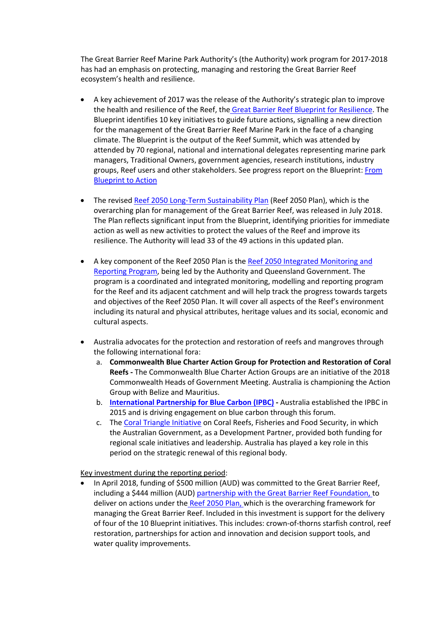The Great Barrier Reef Marine Park Authority's (the Authority) work program for 2017-2018 has had an emphasis on protecting, managing and restoring the Great Barrier Reef ecosystem's health and resilience.

- A key achievement of 2017 was the release of the Authority's strategic plan to improve the health and resilience of the Reef, the Great Barrier Reef Blueprint for Resilience. The Blueprint identifies 10 key initiatives to guide future actions, signalling a new direction for the management of the Great Barrier Reef Marine Park in the face of a changing climate. The Blueprint is the output of the Reef Summit, which was attended by attended by 70 regional, national and international delegates representing marine park managers, Traditional Owners, government agencies, research institutions, industry groups, Reef users and other stakeholders. See progress report on the Blueprint: From Blueprint to Action
- The revised Reef 2050 Long-Term Sustainability Plan (Reef 2050 Plan), which is the overarching plan for management of the Great Barrier Reef, was released in July 2018. The Plan reflects significant input from the Blueprint, identifying priorities for immediate action as well as new activities to protect the values of the Reef and improve its resilience. The Authority will lead 33 of the 49 actions in this updated plan.
- A key component of the Reef 2050 Plan is the Reef 2050 Integrated Monitoring and Reporting Program, being led by the Authority and Queensland Government. The program is a coordinated and integrated monitoring, modelling and reporting program for the Reef and its adjacent catchment and will help track the progress towards targets and objectives of the Reef 2050 Plan. It will cover all aspects of the Reef's environment including its natural and physical attributes, heritage values and its social, economic and cultural aspects.
- Australia advocates for the protection and restoration of reefs and mangroves through the following international fora:
	- a. **Commonwealth Blue Charter Action Group for Protection and Restoration of Coral Reefs -** The Commonwealth Blue Charter Action Groups are an initiative of the 2018 Commonwealth Heads of Government Meeting. Australia is championing the Action Group with Belize and Mauritius.
	- b. **International Partnership for Blue Carbon (IPBC) -** Australia established the IPBC in 2015 and is driving engagement on blue carbon through this forum.
	- c. The Coral Triangle Initiative on Coral Reefs, Fisheries and Food Security, in which the Australian Government, as a Development Partner, provided both funding for regional scale initiatives and leadership. Australia has played a key role in this period on the strategic renewal of this regional body.

Key investment during the reporting period:

• In April 2018, funding of \$500 million (AUD) was committed to the Great Barrier Reef, including a \$444 million (AUD) partnership with the Great Barrier Reef Foundation, to deliver on actions under the Reef 2050 Plan, which is the overarching framework for managing the Great Barrier Reef. Included in this investment is support for the delivery of four of the 10 Blueprint initiatives. This includes: crown-of-thorns starfish control, reef restoration, partnerships for action and innovation and decision support tools, and water quality improvements.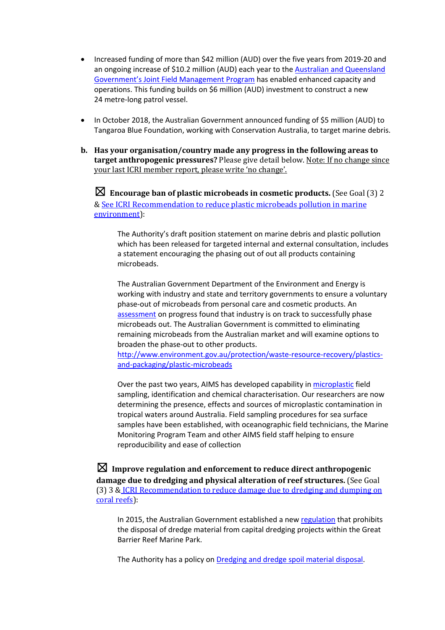- Increased funding of more than \$42 million (AUD) over the five years from 2019-20 and an ongoing increase of \$10.2 million (AUD) each year to the **Australian and Queensland** Government's Joint Field Management Program has enabled enhanced capacity and operations. This funding builds on \$6 million (AUD) investment to construct a new 24 metre-long patrol vessel.
- In October 2018, the Australian Government announced funding of \$5 million (AUD) to Tangaroa Blue Foundation, working with Conservation Australia, to target marine debris.
- **b.** Has your organisation/country made any progress in the following areas to **target anthropogenic pressures?** Please give detail below. Note: If no change since your last ICRI member report, please write 'no change'.

 $\boxtimes$  Encourage ban of plastic microbeads in cosmetic products. (See Goal (3) 2 & See ICRI Recommendation to reduce plastic microbeads pollution in marine environment):

The Authority's draft position statement on marine debris and plastic pollution which has been released for targeted internal and external consultation, includes a statement encouraging the phasing out of out all products containing microbeads.

The Australian Government Department of the Environment and Energy is working with industry and state and territory governments to ensure a voluntary phase-out of microbeads from personal care and cosmetic products. An assessment on progress found that industry is on track to successfully phase microbeads out. The Australian Government is committed to eliminating remaining microbeads from the Australian market and will examine options to broaden the phase-out to other products.

http://www.environment.gov.au/protection/waste-resource-recovery/plasticsand-packaging/plastic-microbeads

Over the past two years, AIMS has developed capability in microplastic field sampling, identification and chemical characterisation. Our researchers are now determining the presence, effects and sources of microplastic contamination in tropical waters around Australia. Field sampling procedures for sea surface samples have been established, with oceanographic field technicians, the Marine Monitoring Program Team and other AIMS field staff helping to ensure reproducibility and ease of collection

 $\boxtimes$  Improve regulation and enforcement to reduce direct anthropogenic **damage due to dredging and physical alteration of reef structures.** (See Goal (3) 3 & ICRI Recommendation to reduce damage due to dredging and dumping on coral reefs):

In 2015, the Australian Government established a new regulation that prohibits the disposal of dredge material from capital dredging projects within the Great Barrier Reef Marine Park.

The Authority has a policy on Dredging and dredge spoil material disposal.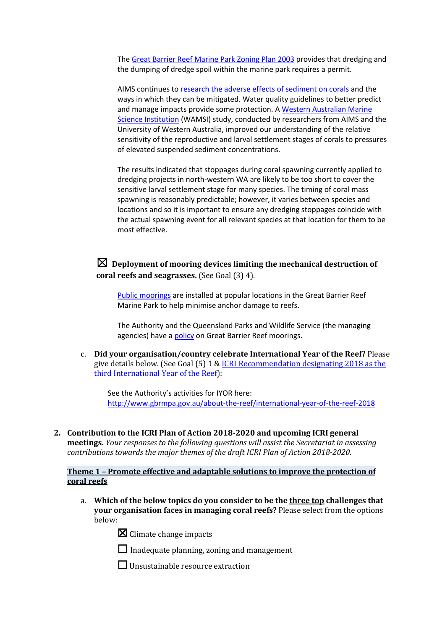The Great Barrier Reef Marine Park Zoning Plan 2003 provides that dredging and the dumping of dredge spoil within the marine park requires a permit.

AIMS continues to research the adverse effects of sediment on corals and the ways in which they can be mitigated. Water quality guidelines to better predict and manage impacts provide some protection. A Western Australian Marine Science Institution (WAMSI) study, conducted by researchers from AIMS and the University of Western Australia, improved our understanding of the relative sensitivity of the reproductive and larval settlement stages of corals to pressures of elevated suspended sediment concentrations.

The results indicated that stoppages during coral spawning currently applied to dredging projects in north-western WA are likely to be too short to cover the sensitive larval settlement stage for many species. The timing of coral mass spawning is reasonably predictable; however, it varies between species and locations and so it is important to ensure any dredging stoppages coincide with the actual spawning event for all relevant species at that location for them to be most effective.

 $\boxtimes$  Deployment of mooring devices limiting the mechanical destruction of **coral reefs and seagrasses.** (See Goal (3) 4).

Public moorings are installed at popular locations in the Great Barrier Reef Marine Park to help minimise anchor damage to reefs.

The Authority and the Queensland Parks and Wildlife Service (the managing agencies) have a policy on Great Barrier Reef moorings.

c. **Did your organisation/country celebrate International Year of the Reef?** Please give details below. (See Goal  $(5)$  1 & ICRI Recommendation designating 2018 as the third International Year of the Reef):

See the Authority's activities for IYOR here: http://www.gbrmpa.gov.au/about-the-reef/international-year-of-the-reef-2018

**2.** Contribution to the ICRI Plan of Action 2018-2020 and upcoming ICRI general **meetings.** *Your responses to the following questions will assist the Secretariat in assessing contributions towards the major themes of the draft ICRI Plan of Action 2018-2020.* 

# **Theme 1** – Promote effective and adaptable solutions to improve the protection of **coral reefs**

a. Which of the below topics do you consider to be the three top challenges that **your organisation faces in managing coral reefs?** Please select from the options below:

 $\boxtimes$  Climate change impacts

 $\Box$  Inadequate planning, zoning and management

 $\Box$  Unsustainable resource extraction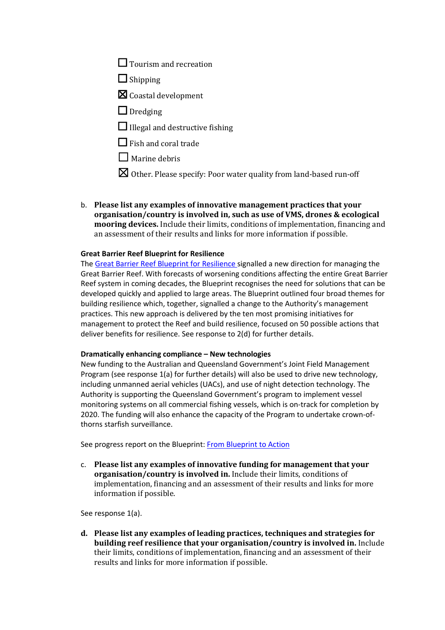- $\Box$  Tourism and recreation
- $\Box$  Shipping
- $\boxtimes$  Coastal development
- □ Dredging
- $\Box$  Illegal and destructive fishing
- $\Box$  Fish and coral trade
- $\Box$  Marine debris
- $\boxtimes$  Other. Please specify: Poor water quality from land-based run-off
- b. Please list any examples of innovative management practices that your **organisation/country is involved in, such as use of VMS, drones & ecological mooring devices.** Include their limits, conditions of implementation, financing and an assessment of their results and links for more information if possible.

### **Great Barrier Reef Blueprint for Resilience**

The Great Barrier Reef Blueprint for Resilience signalled a new direction for managing the Great Barrier Reef. With forecasts of worsening conditions affecting the entire Great Barrier Reef system in coming decades, the Blueprint recognises the need for solutions that can be developed quickly and applied to large areas. The Blueprint outlined four broad themes for building resilience which, together, signalled a change to the Authority's management practices. This new approach is delivered by the ten most promising initiatives for management to protect the Reef and build resilience, focused on 50 possible actions that deliver benefits for resilience. See response to 2(d) for further details.

#### **Dramatically enhancing compliance – New technologies**

New funding to the Australian and Queensland Government's Joint Field Management Program (see response 1(a) for further details) will also be used to drive new technology, including unmanned aerial vehicles (UACs), and use of night detection technology. The Authority is supporting the Queensland Government's program to implement vessel monitoring systems on all commercial fishing vessels, which is on-track for completion by 2020. The funding will also enhance the capacity of the Program to undertake crown-ofthorns starfish surveillance.

See progress report on the Blueprint: From Blueprint to Action

c. Please list any examples of innovative funding for management that your **organisation/country is involved in.** Include their limits, conditions of implementation, financing and an assessment of their results and links for more information if possible.

See response 1(a).

d. Please list any examples of leading practices, techniques and strategies for **building reef resilience that your organisation/country is involved in.** Include their limits, conditions of implementation, financing and an assessment of their results and links for more information if possible.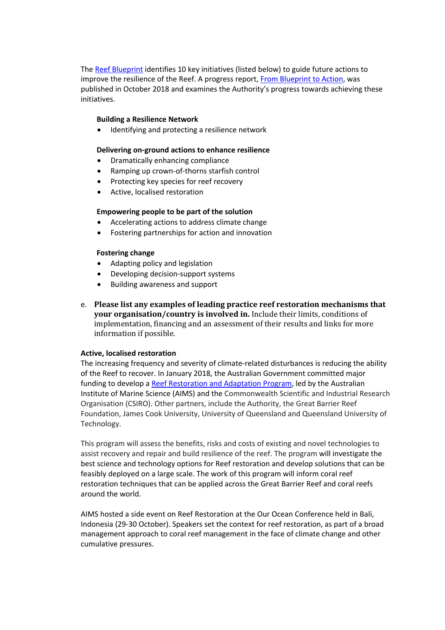The Reef Blueprint identifies 10 key initiatives (listed below) to guide future actions to improve the resilience of the Reef. A progress report, From Blueprint to Action, was published in October 2018 and examines the Authority's progress towards achieving these initiatives.

### **Building a Resilience Network**

Identifying and protecting a resilience network

#### **Delivering on-ground actions to enhance resilience**

- Dramatically enhancing compliance
- Ramping up crown-of-thorns starfish control
- Protecting key species for reef recovery
- Active, localised restoration

#### **Empowering people to be part of the solution**

- Accelerating actions to address climate change
- Fostering partnerships for action and innovation

#### **Fostering change**

- Adapting policy and legislation
- Developing decision-support systems
- Building awareness and support
- e. Please list any examples of leading practice reef restoration mechanisms that **your organisation/country is involved in.** Include their limits, conditions of implementation, financing and an assessment of their results and links for more information if possible.

#### **Active, localised restoration**

The increasing frequency and severity of climate-related disturbances is reducing the ability of the Reef to recover. In January 2018, the Australian Government committed major funding to develop a Reef Restoration and Adaptation Program, led by the Australian Institute of Marine Science (AIMS) and the Commonwealth Scientific and Industrial Research Organisation (CSIRO). Other partners, include the Authority, the Great Barrier Reef Foundation, James Cook University, University of Queensland and Queensland University of Technology.

This program will assess the benefits, risks and costs of existing and novel technologies to assist recovery and repair and build resilience of the reef. The program will investigate the best science and technology options for Reef restoration and develop solutions that can be feasibly deployed on a large scale. The work of this program will inform coral reef restoration techniques that can be applied across the Great Barrier Reef and coral reefs around the world.

AIMS hosted a side event on Reef Restoration at the Our Ocean Conference held in Bali, Indonesia (29-30 October). Speakers set the context for reef restoration, as part of a broad management approach to coral reef management in the face of climate change and other cumulative pressures.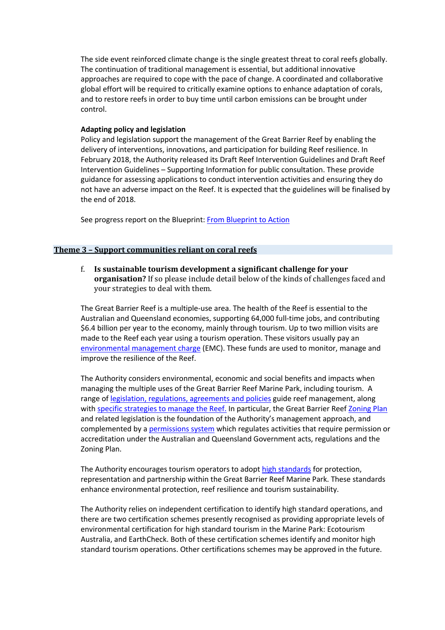The side event reinforced climate change is the single greatest threat to coral reefs globally. The continuation of traditional management is essential, but additional innovative approaches are required to cope with the pace of change. A coordinated and collaborative global effort will be required to critically examine options to enhance adaptation of corals, and to restore reefs in order to buy time until carbon emissions can be brought under control.

### **Adapting policy and legislation**

Policy and legislation support the management of the Great Barrier Reef by enabling the delivery of interventions, innovations, and participation for building Reef resilience. In February 2018, the Authority released its Draft Reef Intervention Guidelines and Draft Reef Intervention Guidelines – Supporting Information for public consultation. These provide guidance for assessing applications to conduct intervention activities and ensuring they do not have an adverse impact on the Reef. It is expected that the guidelines will be finalised by the end of 2018.

See progress report on the Blueprint: From Blueprint to Action

### **Theme 3 - Support communities reliant on coral reefs**

f. Is sustainable tourism development a significant challenge for your **organisation?** If so please include detail below of the kinds of challenges faced and your strategies to deal with them.

The Great Barrier Reef is a multiple-use area. The health of the Reef is essential to the Australian and Queensland economies, supporting 64,000 full-time jobs, and contributing \$6.4 billion per year to the economy, mainly through tourism. Up to two million visits are made to the Reef each year using a tourism operation. These visitors usually pay an environmental management charge (EMC). These funds are used to monitor, manage and improve the resilience of the Reef.

The Authority considers environmental, economic and social benefits and impacts when managing the multiple uses of the Great Barrier Reef Marine Park, including tourism. A range of legislation, regulations, agreements and policies guide reef management, along with specific strategies to manage the Reef. In particular, the Great Barrier Reef Zoning Plan and related legislation is the foundation of the Authority's management approach, and complemented by a permissions system which regulates activities that require permission or accreditation under the Australian and Queensland Government acts, regulations and the Zoning Plan.

The Authority encourages tourism operators to adopt high standards for protection, representation and partnership within the Great Barrier Reef Marine Park. These standards enhance environmental protection, reef resilience and tourism sustainability.

The Authority relies on independent certification to identify high standard operations, and there are two certification schemes presently recognised as providing appropriate levels of environmental certification for high standard tourism in the Marine Park: Ecotourism Australia, and EarthCheck. Both of these certification schemes identify and monitor high standard tourism operations. Other certifications schemes may be approved in the future.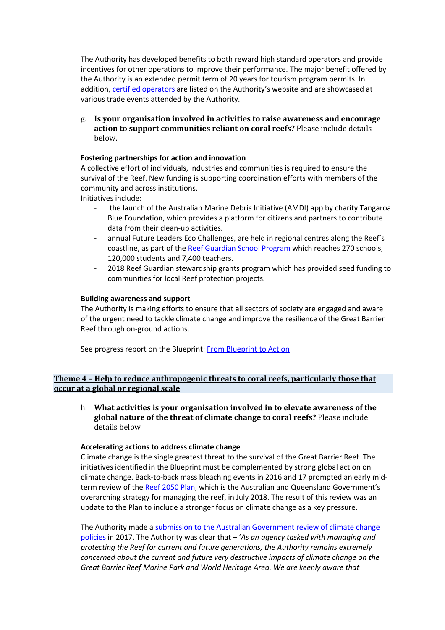The Authority has developed benefits to both reward high standard operators and provide incentives for other operations to improve their performance. The major benefit offered by the Authority is an extended permit term of 20 years for tourism program permits. In addition, certified operators are listed on the Authority's website and are showcased at various trade events attended by the Authority.

g. Is your organisation involved in activities to raise awareness and encourage action to support communities reliant on coral reefs? Please include details below.

### **Fostering partnerships for action and innovation**

A collective effort of individuals, industries and communities is required to ensure the survival of the Reef. New funding is supporting coordination efforts with members of the community and across institutions.

Initiatives include:

- the launch of the Australian Marine Debris Initiative (AMDI) app by charity Tangaroa Blue Foundation, which provides a platform for citizens and partners to contribute data from their clean-up activities.
- annual Future Leaders Eco Challenges, are held in regional centres along the Reef's coastline, as part of the Reef Guardian School Program which reaches 270 schools, 120,000 students and 7,400 teachers.
- 2018 Reef Guardian stewardship grants program which has provided seed funding to communities for local Reef protection projects.

### **Building awareness and support**

The Authority is making efforts to ensure that all sectors of society are engaged and aware of the urgent need to tackle climate change and improve the resilience of the Great Barrier Reef through on-ground actions.

See progress report on the Blueprint: From Blueprint to Action

# **Theme 4 - Help to reduce anthropogenic threats to coral reefs, particularly those that occur at a global or regional scale**

h. What activities is your organisation involved in to elevate awareness of the **global nature of the threat of climate change to coral reefs?** Please include details below

### **Accelerating actions to address climate change**

Climate change is the single greatest threat to the survival of the Great Barrier Reef. The initiatives identified in the Blueprint must be complemented by strong global action on climate change. Back-to-back mass bleaching events in 2016 and 17 prompted an early midterm review of the Reef 2050 Plan, which is the Australian and Queensland Government's overarching strategy for managing the reef, in July 2018. The result of this review was an update to the Plan to include a stronger focus on climate change as a key pressure.

The Authority made a submission to the Australian Government review of climate change policies in 2017. The Authority was clear that – '*As an agency tasked with managing and protecting the Reef for current and future generations, the Authority remains extremely concerned about the current and future very destructive impacts of climate change on the Great Barrier Reef Marine Park and World Heritage Area. We are keenly aware that*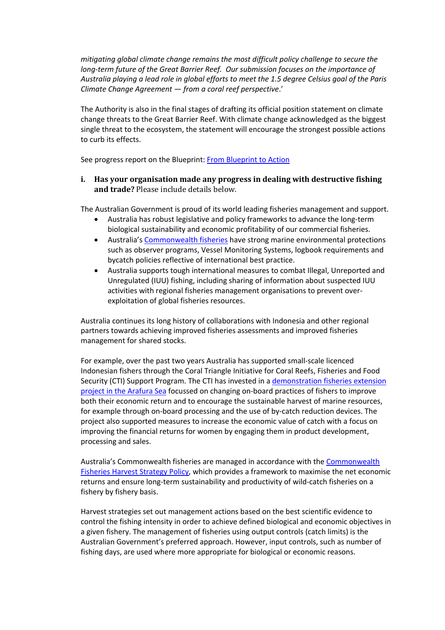*mitigating global climate change remains the most difficult policy challenge to secure the long-term future of the Great Barrier Reef. Our submission focuses on the importance of Australia playing a lead role in global efforts to meet the 1.5 degree Celsius goal of the Paris Climate Change Agreement — from a coral reef perspective*.'

The Authority is also in the final stages of drafting its official position statement on climate change threats to the Great Barrier Reef. With climate change acknowledged as the biggest single threat to the ecosystem, the statement will encourage the strongest possible actions to curb its effects.

See progress report on the Blueprint: From Blueprint to Action

# **i.** Has your organisation made any progress in dealing with destructive fishing and trade? Please include details below.

The Australian Government is proud of its world leading fisheries management and support.

- Australia has robust legislative and policy frameworks to advance the long-term biological sustainability and economic profitability of our commercial fisheries.
- Australia's Commonwealth fisheries have strong marine environmental protections such as observer programs, Vessel Monitoring Systems, logbook requirements and bycatch policies reflective of international best practice.
- Australia supports tough international measures to combat Illegal, Unreported and Unregulated (IUU) fishing, including sharing of information about suspected IUU activities with regional fisheries management organisations to prevent overexploitation of global fisheries resources.

Australia continues its long history of collaborations with Indonesia and other regional partners towards achieving improved fisheries assessments and improved fisheries management for shared stocks.

For example, over the past two years Australia has supported small-scale licenced Indonesian fishers through the Coral Triangle Initiative for Coral Reefs, Fisheries and Food Security (CTI) Support Program. The CTI has invested in a demonstration fisheries extension project in the Arafura Sea focussed on changing on-board practices of fishers to improve both their economic return and to encourage the sustainable harvest of marine resources, for example through on-board processing and the use of by-catch reduction devices. The project also supported measures to increase the economic value of catch with a focus on improving the financial returns for women by engaging them in product development, processing and sales.

Australia's Commonwealth fisheries are managed in accordance with the Commonwealth Fisheries Harvest Strategy Policy, which provides a framework to maximise the net economic returns and ensure long-term sustainability and productivity of wild-catch fisheries on a fishery by fishery basis.

Harvest strategies set out management actions based on the best scientific evidence to control the fishing intensity in order to achieve defined biological and economic objectives in a given fishery. The management of fisheries using output controls (catch limits) is the Australian Government's preferred approach. However, input controls, such as number of fishing days, are used where more appropriate for biological or economic reasons.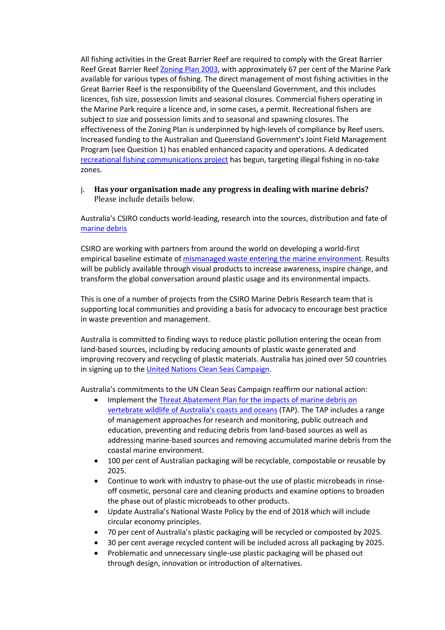All fishing activities in the Great Barrier Reef are required to comply with the Great Barrier Reef Great Barrier Reef Zoning Plan 2003, with approximately 67 per cent of the Marine Park available for various types of fishing. The direct management of most fishing activities in the Great Barrier Reef is the responsibility of the Queensland Government, and this includes licences, fish size, possession limits and seasonal closures. Commercial fishers operating in the Marine Park require a licence and, in some cases, a permit. Recreational fishers are subject to size and possession limits and to seasonal and spawning closures. The effectiveness of the Zoning Plan is underpinned by high-levels of compliance by Reef users. Increased funding to the Australian and Queensland Government's Joint Field Management Program (see Question 1) has enabled enhanced capacity and operations. A dedicated recreational fishing communications project has begun, targeting illegal fishing in no-take zones.

## j. Has your organisation made any progress in dealing with marine debris? Please include details below.

Australia's CSIRO conducts world-leading, research into the sources, distribution and fate of marine debris

CSIRO are working with partners from around the world on developing a world-first empirical baseline estimate of mismanaged waste entering the marine environment. Results will be publicly available through visual products to increase awareness, inspire change, and transform the global conversation around plastic usage and its environmental impacts.

This is one of a number of projects from the CSIRO Marine Debris Research team that is supporting local communities and providing a basis for advocacy to encourage best practice in waste prevention and management.

Australia is committed to finding ways to reduce plastic pollution entering the ocean from land-based sources, including by reducing amounts of plastic waste generated and improving recovery and recycling of plastic materials. Australia has joined over 50 countries in signing up to the United Nations Clean Seas Campaign.

Australia's commitments to the UN Clean Seas Campaign reaffirm our national action:

- Implement the Threat Abatement Plan for the impacts of marine debris on vertebrate wildlife of Australia's coasts and oceans (TAP). The TAP includes a range of management approaches for research and monitoring, public outreach and education, preventing and reducing debris from land-based sources as well as addressing marine-based sources and removing accumulated marine debris from the coastal marine environment.
- 100 per cent of Australian packaging will be recyclable, compostable or reusable by 2025.
- Continue to work with industry to phase-out the use of plastic microbeads in rinseoff cosmetic, personal care and cleaning products and examine options to broaden the phase out of plastic microbeads to other products.
- Update Australia's National Waste Policy by the end of 2018 which will include circular economy principles.
- 70 per cent of Australia's plastic packaging will be recycled or composted by 2025.
- 30 per cent average recycled content will be included across all packaging by 2025.
- Problematic and unnecessary single-use plastic packaging will be phased out through design, innovation or introduction of alternatives.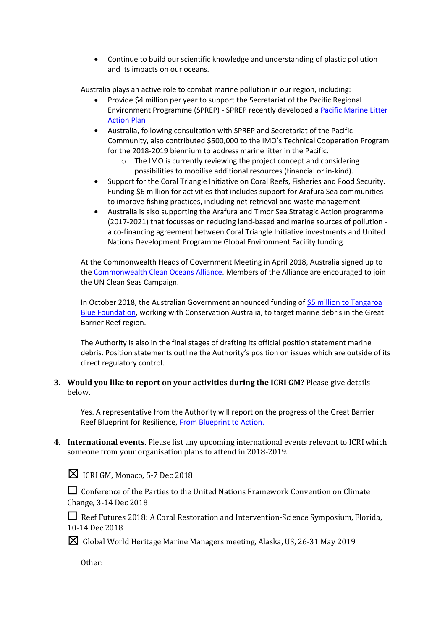• Continue to build our scientific knowledge and understanding of plastic pollution and its impacts on our oceans.

Australia plays an active role to combat marine pollution in our region, including:

- Provide \$4 million per year to support the Secretariat of the Pacific Regional Environment Programme (SPREP) - SPREP recently developed a Pacific Marine Litter Action Plan
- Australia, following consultation with SPREP and Secretariat of the Pacific Community, also contributed \$500,000 to the IMO's Technical Cooperation Program for the 2018-2019 biennium to address marine litter in the Pacific.
	- o The IMO is currently reviewing the project concept and considering possibilities to mobilise additional resources (financial or in-kind).
- Support for the Coral Triangle Initiative on Coral Reefs, Fisheries and Food Security. Funding \$6 million for activities that includes support for Arafura Sea communities to improve fishing practices, including net retrieval and waste management
- Australia is also supporting the Arafura and Timor Sea Strategic Action programme (2017-2021) that focusses on reducing land-based and marine sources of pollution a co-financing agreement between Coral Triangle Initiative investments and United Nations Development Programme Global Environment Facility funding.

At the Commonwealth Heads of Government Meeting in April 2018, Australia signed up to the Commonwealth Clean Oceans Alliance. Members of the Alliance are encouraged to join the UN Clean Seas Campaign.

In October 2018, the Australian Government announced funding of \$5 million to Tangaroa Blue Foundation, working with Conservation Australia, to target marine debris in the Great Barrier Reef region.

The Authority is also in the final stages of drafting its official position statement marine debris. Position statements outline the Authority's position on issues which are outside of its direct regulatory control.

# **3.** Would you like to report on your activities during the ICRI GM? Please give details below.

Yes. A representative from the Authority will report on the progress of the Great Barrier Reef Blueprint for Resilience, From Blueprint to Action.

**4.** International events. Please list any upcoming international events relevant to ICRI which someone from your organisation plans to attend in 2018-2019.

 $\boxtimes$  ICRI GM, Monaco, 5-7 Dec 2018

□ Conference of the Parties to the United Nations Framework Convention on Climate Change, 3-14 Dec 2018

□ Reef Futures 2018: A Coral Restoration and Intervention-Science Symposium, Florida, 10-14 Dec 2018

 $\boxtimes$  Global World Heritage Marine Managers meeting, Alaska, US, 26-31 May 2019

Other: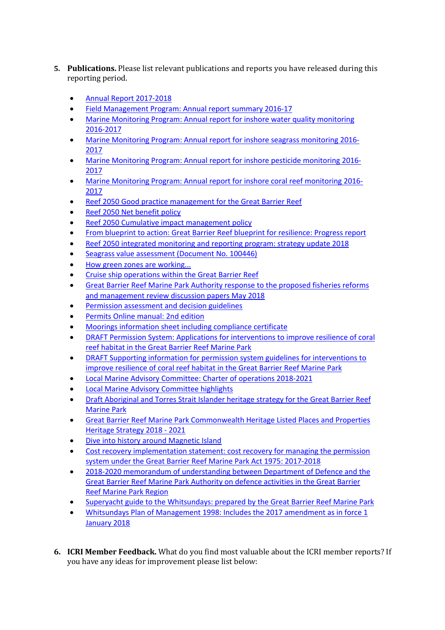- **5.** Publications. Please list relevant publications and reports you have released during this reporting period.
	- Annual Report 2017-2018
	- Field Management Program: Annual report summary 2016-17
	- Marine Monitoring Program: Annual report for inshore water quality monitoring 2016-2017
	- Marine Monitoring Program: Annual report for inshore seagrass monitoring 2016- 2017
	- Marine Monitoring Program: Annual report for inshore pesticide monitoring 2016- 2017
	- Marine Monitoring Program: Annual report for inshore coral reef monitoring 2016- 2017
	- Reef 2050 Good practice management for the Great Barrier Reef
	- Reef 2050 Net benefit policy
	- Reef 2050 Cumulative impact management policy
	- From blueprint to action: Great Barrier Reef blueprint for resilience: Progress report
	- Reef 2050 integrated monitoring and reporting program: strategy update 2018
	- Seagrass value assessment (Document No. 100446)
	- How green zones are working...
	- Cruise ship operations within the Great Barrier Reef
	- Great Barrier Reef Marine Park Authority response to the proposed fisheries reforms and management review discussion papers May 2018
	- Permission assessment and decision guidelines
	- Permits Online manual: 2nd edition
	- Moorings information sheet including compliance certificate
	- DRAFT Permission System: Applications for interventions to improve resilience of coral reef habitat in the Great Barrier Reef Marine Park
	- DRAFT Supporting information for permission system guidelines for interventions to improve resilience of coral reef habitat in the Great Barrier Reef Marine Park
	- Local Marine Advisory Committee: Charter of operations 2018-2021
	- Local Marine Advisory Committee highlights
	- Draft Aboriginal and Torres Strait Islander heritage strategy for the Great Barrier Reef Marine Park
	- Great Barrier Reef Marine Park Commonwealth Heritage Listed Places and Properties Heritage Strategy 2018 - 2021
	- Dive into history around Magnetic Island
	- Cost recovery implementation statement: cost recovery for managing the permission system under the Great Barrier Reef Marine Park Act 1975: 2017-2018
	- 2018-2020 memorandum of understanding between Department of Defence and the Great Barrier Reef Marine Park Authority on defence activities in the Great Barrier Reef Marine Park Region
	- Superyacht guide to the Whitsundays: prepared by the Great Barrier Reef Marine Park
	- Whitsundays Plan of Management 1998: Includes the 2017 amendment as in force 1 January 2018
- **6. ICRI Member Feedback.** What do you find most valuable about the ICRI member reports? If you have any ideas for improvement please list below: